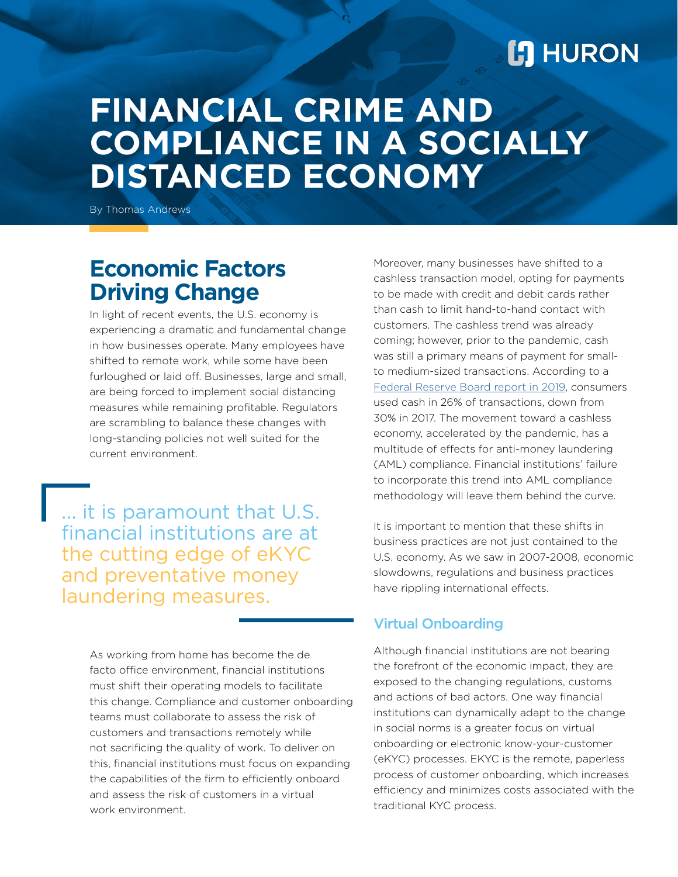# **L'I** HURON

# **FINANCIAL CRIME AND COMPLIANCE IN A SOCIALLY DISTANCED ECONOMY**

By Thomas Andrews

## **Economic Factors Driving Change**

In light of recent events, the U.S. economy is experiencing a dramatic and fundamental change in how businesses operate. Many employees have shifted to remote work, while some have been furloughed or laid off. Businesses, large and small, are being forced to implement social distancing measures while remaining profitable. Regulators are scrambling to balance these changes with long-standing policies not well suited for the current environment.

... it is paramount that U.S. financial institutions are at the cutting edge of eKYC and preventative money laundering measures.

> As working from home has become the de facto office environment, financial institutions must shift their operating models to facilitate this change. Compliance and customer onboarding teams must collaborate to assess the risk of customers and transactions remotely while not sacrificing the quality of work. To deliver on this, financial institutions must focus on expanding the capabilities of the firm to efficiently onboard and assess the risk of customers in a virtual work environment.

Moreover, many businesses have shifted to a cashless transaction model, opting for payments to be made with credit and debit cards rather than cash to limit hand-to-hand contact with customers. The cashless trend was already coming; however, prior to the pandemic, cash was still a primary means of payment for smallto medium-sized transactions. According to a [Federal Reserve Board report in 2019,](https://www.frbsf.org/cash/publications/fed-notes/2019/june/2019-findings-from-the-diary-of-consumer-payment-choice/) consumers used cash in 26% of transactions, down from 30% in 2017. The movement toward a cashless economy, accelerated by the pandemic, has a multitude of effects for anti-money laundering (AML) compliance. Financial institutions' failure to incorporate this trend into AML compliance methodology will leave them behind the curve.

It is important to mention that these shifts in business practices are not just contained to the U.S. economy. As we saw in 2007-2008, economic slowdowns, regulations and business practices have rippling international effects.

#### Virtual Onboarding

Although financial institutions are not bearing the forefront of the economic impact, they are exposed to the changing regulations, customs and actions of bad actors. One way financial institutions can dynamically adapt to the change in social norms is a greater focus on virtual onboarding or electronic know-your-customer (eKYC) processes. EKYC is the remote, paperless process of customer onboarding, which increases efficiency and minimizes costs associated with the traditional KYC process.